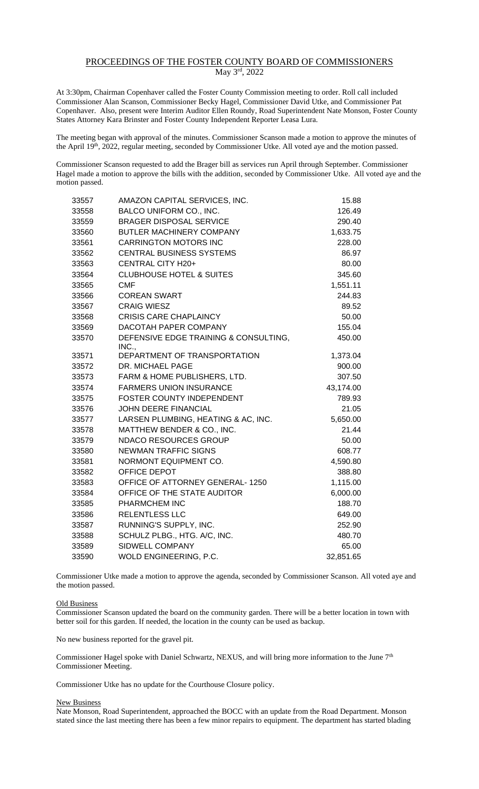## PROCEEDINGS OF THE FOSTER COUNTY BOARD OF COMMISSIONERS May 3rd, 2022

At 3:30pm, Chairman Copenhaver called the Foster County Commission meeting to order. Roll call included Commissioner Alan Scanson, Commissioner Becky Hagel, Commissioner David Utke, and Commissioner Pat Copenhaver. Also, present were Interim Auditor Ellen Roundy, Road Superintendent Nate Monson, Foster County States Attorney Kara Brinster and Foster County Independent Reporter Leasa Lura.

The meeting began with approval of the minutes. Commissioner Scanson made a motion to approve the minutes of the April 19<sup>th</sup>, 2022, regular meeting, seconded by Commissioner Utke. All voted aye and the motion passed.

Commissioner Scanson requested to add the Brager bill as services run April through September. Commissioner Hagel made a motion to approve the bills with the addition, seconded by Commissioner Utke. All voted aye and the motion passed.

| 33557 | AMAZON CAPITAL SERVICES, INC.                  | 15.88     |
|-------|------------------------------------------------|-----------|
| 33558 | BALCO UNIFORM CO., INC.                        | 126.49    |
| 33559 | <b>BRAGER DISPOSAL SERVICE</b>                 | 290.40    |
| 33560 | <b>BUTLER MACHINERY COMPANY</b>                | 1,633.75  |
| 33561 | <b>CARRINGTON MOTORS INC</b>                   | 228.00    |
| 33562 | CENTRAL BUSINESS SYSTEMS                       | 86.97     |
| 33563 | CENTRAL CITY H20+                              | 80.00     |
| 33564 | <b>CLUBHOUSE HOTEL &amp; SUITES</b>            | 345.60    |
| 33565 | <b>CMF</b>                                     | 1,551.11  |
| 33566 | <b>COREAN SWART</b>                            | 244.83    |
| 33567 | <b>CRAIG WIESZ</b>                             | 89.52     |
| 33568 | <b>CRISIS CARE CHAPLAINCY</b>                  | 50.00     |
| 33569 | DACOTAH PAPER COMPANY                          | 155.04    |
| 33570 | DEFENSIVE EDGE TRAINING & CONSULTING,<br>INC., | 450.00    |
| 33571 | DEPARTMENT OF TRANSPORTATION                   | 1,373.04  |
| 33572 | DR. MICHAEL PAGE                               | 900.00    |
| 33573 | FARM & HOME PUBLISHERS, LTD.                   | 307.50    |
| 33574 | <b>FARMERS UNION INSURANCE</b>                 | 43,174.00 |
| 33575 | FOSTER COUNTY INDEPENDENT                      | 789.93    |
| 33576 | <b>JOHN DEERE FINANCIAL</b>                    | 21.05     |
| 33577 | LARSEN PLUMBING, HEATING & AC, INC.            | 5,650.00  |
| 33578 | MATTHEW BENDER & CO., INC.                     | 21.44     |
| 33579 | <b>NDACO RESOURCES GROUP</b>                   | 50.00     |
| 33580 | <b>NEWMAN TRAFFIC SIGNS</b>                    | 608.77    |
| 33581 | NORMONT EQUIPMENT CO.                          | 4,590.80  |
| 33582 | OFFICE DEPOT                                   | 388.80    |
| 33583 | OFFICE OF ATTORNEY GENERAL-1250                | 1,115.00  |
| 33584 | OFFICE OF THE STATE AUDITOR                    | 6,000.00  |
| 33585 | PHARMCHEM INC                                  | 188.70    |
| 33586 | <b>RELENTLESS LLC</b>                          | 649.00    |
| 33587 | RUNNING'S SUPPLY, INC.                         | 252.90    |
| 33588 | SCHULZ PLBG., HTG. A/C, INC.                   | 480.70    |
| 33589 | SIDWELL COMPANY                                | 65.00     |
| 33590 | WOLD ENGINEERING, P.C.                         | 32,851.65 |

Commissioner Utke made a motion to approve the agenda, seconded by Commissioner Scanson. All voted aye and the motion passed.

## Old Business

Commissioner Scanson updated the board on the community garden. There will be a better location in town with better soil for this garden. If needed, the location in the county can be used as backup.

No new business reported for the gravel pit.

Commissioner Hagel spoke with Daniel Schwartz, NEXUS, and will bring more information to the June 7<sup>th</sup> Commissioner Meeting.

Commissioner Utke has no update for the Courthouse Closure policy.

## New Business

Nate Monson, Road Superintendent, approached the BOCC with an update from the Road Department. Monson stated since the last meeting there has been a few minor repairs to equipment. The department has started blading